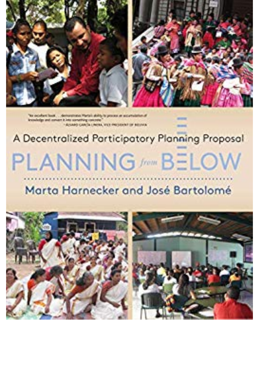

knowledge and assume it loss surveying concrete "Ayanti García Lineta, Victi matateni de adunta.

## A Decentralized Participatory Planning Proposal PLANNING //www BELC

## Marta Harnecker and José Bartolomé

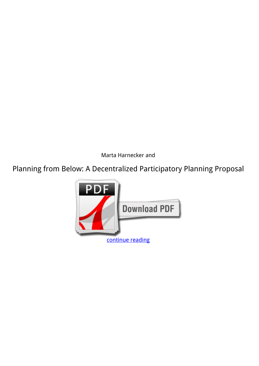*Marta Harnecker and*

**Planning from Below: A Decentralized Participatory Planning Proposal**

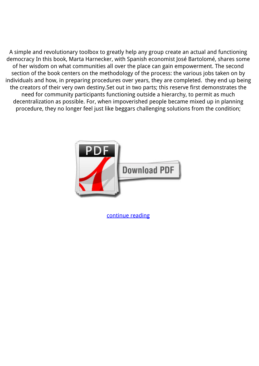A simple and revolutionary toolbox to greatly help any group create an actual and functioning democracy In this book, Marta Harnecker, with Spanish economist José Bartolomé, shares some of her wisdom on what communities all over the place can gain empowerment. The second section of the book centers on the methodology of the process: the various jobs taken on by individuals and how, in preparing procedures over years, they are completed. they end up being the creators of their very own destiny.Set out in two parts; this reserve first demonstrates the need for community participants functioning outside a hierarchy, to permit as much decentralization as possible. For, when impoverished people became mixed up in planning procedure, they no longer feel just like beggars challenging solutions from the condition;



[continue reading](http://bit.ly/2Tge8Fv)